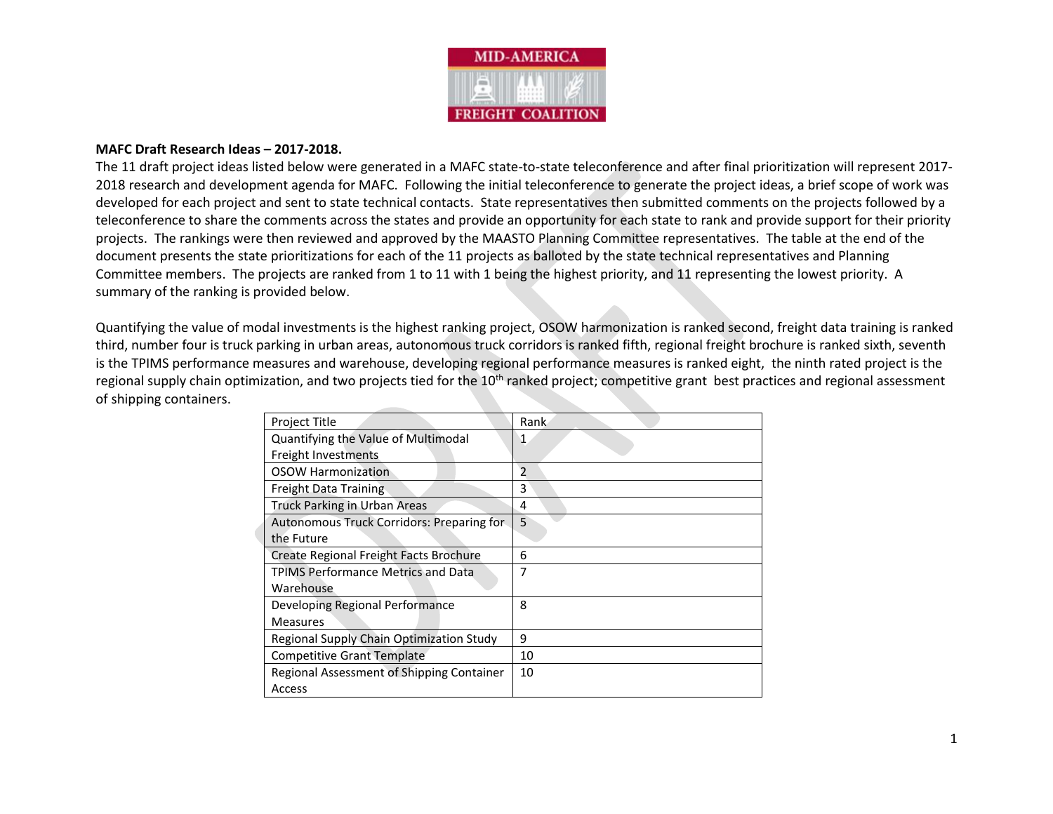

#### **MAFC Draft Research Ideas – 2017-2018.**

The 11 draft project ideas listed below were generated in a MAFC state-to-state teleconference and after final prioritization will represent 2017- 2018 research and development agenda for MAFC. Following the initial teleconference to generate the project ideas, a brief scope of work was developed for each project and sent to state technical contacts. State representatives then submitted comments on the projects followed by a teleconference to share the comments across the states and provide an opportunity for each state to rank and provide support for their priority projects. The rankings were then reviewed and approved by the MAASTO Planning Committee representatives. The table at the end of the document presents the state prioritizations for each of the 11 projects as balloted by the state technical representatives and Planning Committee members. The projects are ranked from 1 to 11 with 1 being the highest priority, and 11 representing the lowest priority. A summary of the ranking is provided below.

Quantifying the value of modal investments is the highest ranking project, OSOW harmonization is ranked second, freight data training is ranked third, number four is truck parking in urban areas, autonomous truck corridors is ranked fifth, regional freight brochure is ranked sixth, seventh is the TPIMS performance measures and warehouse, developing regional performance measures is ranked eight, the ninth rated project is the regional supply chain optimization, and two projects tied for the 10<sup>th</sup> ranked project; competitive grant best practices and regional assessment of shipping containers.

| Project Title                             | Rank           |
|-------------------------------------------|----------------|
| Quantifying the Value of Multimodal       | 1              |
| Freight Investments                       |                |
| <b>OSOW Harmonization</b>                 | $\overline{2}$ |
| Freight Data Training                     | 3              |
| <b>Truck Parking in Urban Areas</b>       | 4              |
| Autonomous Truck Corridors: Preparing for | 5              |
| the Future                                |                |
| Create Regional Freight Facts Brochure    | 6              |
| <b>TPIMS Performance Metrics and Data</b> | 7              |
| Warehouse                                 |                |
| Developing Regional Performance           | 8              |
| <b>Measures</b>                           |                |
| Regional Supply Chain Optimization Study  | 9              |
| <b>Competitive Grant Template</b>         | 10             |
| Regional Assessment of Shipping Container | 10             |
| Access                                    |                |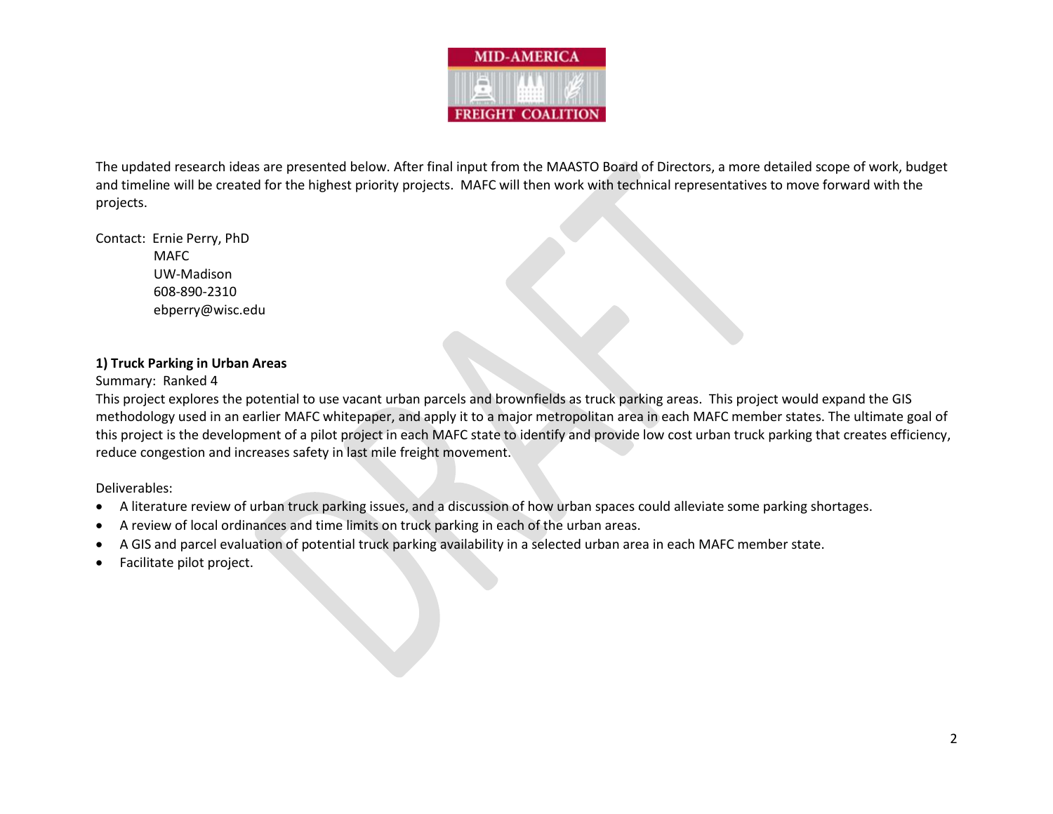

The updated research ideas are presented below. After final input from the MAASTO Board of Directors, a more detailed scope of work, budget and timeline will be created for the highest priority projects. MAFC will then work with technical representatives to move forward with the projects.

Contact: Ernie Perry, PhD MAFC UW-Madison 608-890-2310 ebperry@wisc.edu

## **1) Truck Parking in Urban Areas**

# Summary: Ranked 4

This project explores the potential to use vacant urban parcels and brownfields as truck parking areas. This project would expand the GIS methodology used in an earlier MAFC whitepaper, and apply it to a major metropolitan area in each MAFC member states. The ultimate goal of this project is the development of a pilot project in each MAFC state to identify and provide low cost urban truck parking that creates efficiency, reduce congestion and increases safety in last mile freight movement.

- A literature review of urban truck parking issues, and a discussion of how urban spaces could alleviate some parking shortages.
- A review of local ordinances and time limits on truck parking in each of the urban areas.
- A GIS and parcel evaluation of potential truck parking availability in a selected urban area in each MAFC member state.
- Facilitate pilot project.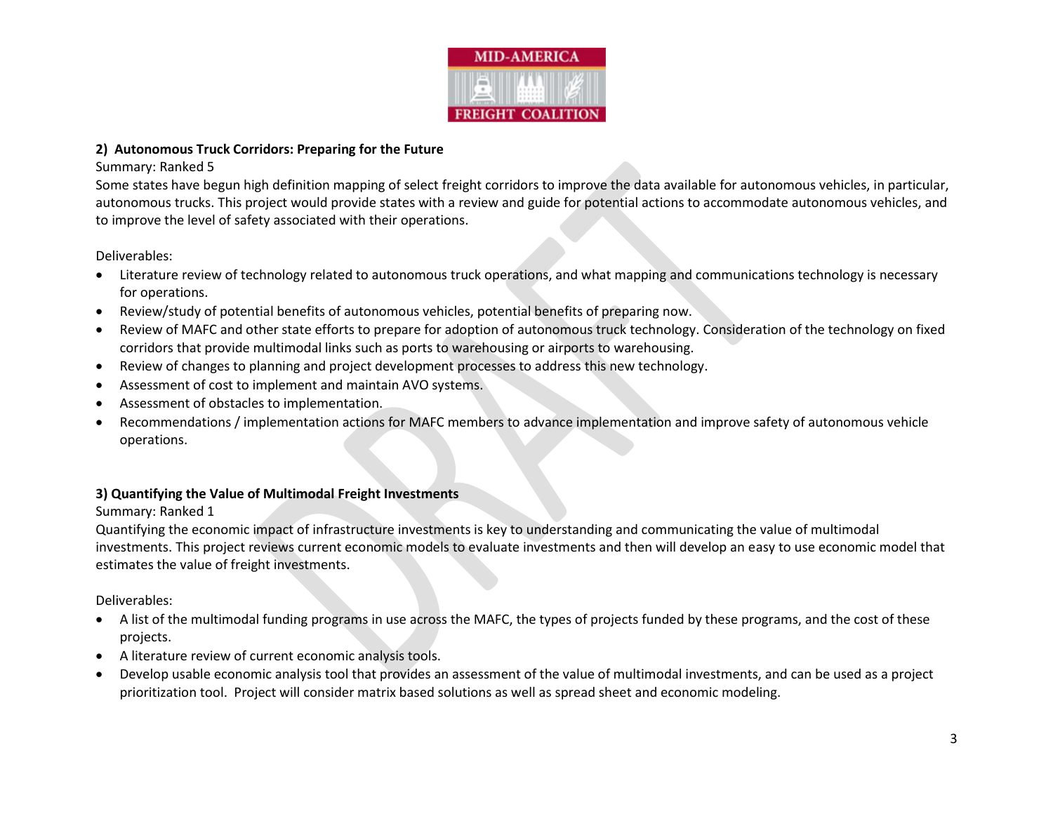

#### **2) Autonomous Truck Corridors: Preparing for the Future**

#### Summary: Ranked 5

Some states have begun high definition mapping of select freight corridors to improve the data available for autonomous vehicles, in particular, autonomous trucks. This project would provide states with a review and guide for potential actions to accommodate autonomous vehicles, and to improve the level of safety associated with their operations.

Deliverables:

- Literature review of technology related to autonomous truck operations, and what mapping and communications technology is necessary for operations.
- Review/study of potential benefits of autonomous vehicles, potential benefits of preparing now.
- Review of MAFC and other state efforts to prepare for adoption of autonomous truck technology. Consideration of the technology on fixed corridors that provide multimodal links such as ports to warehousing or airports to warehousing.
- Review of changes to planning and project development processes to address this new technology.
- Assessment of cost to implement and maintain AVO systems.
- Assessment of obstacles to implementation.
- Recommendations / implementation actions for MAFC members to advance implementation and improve safety of autonomous vehicle operations.

## **3) Quantifying the Value of Multimodal Freight Investments**

## Summary: Ranked 1

Quantifying the economic impact of infrastructure investments is key to understanding and communicating the value of multimodal investments. This project reviews current economic models to evaluate investments and then will develop an easy to use economic model that estimates the value of freight investments.

- A list of the multimodal funding programs in use across the MAFC, the types of projects funded by these programs, and the cost of these projects.
- A literature review of current economic analysis tools.
- Develop usable economic analysis tool that provides an assessment of the value of multimodal investments, and can be used as a project prioritization tool. Project will consider matrix based solutions as well as spread sheet and economic modeling.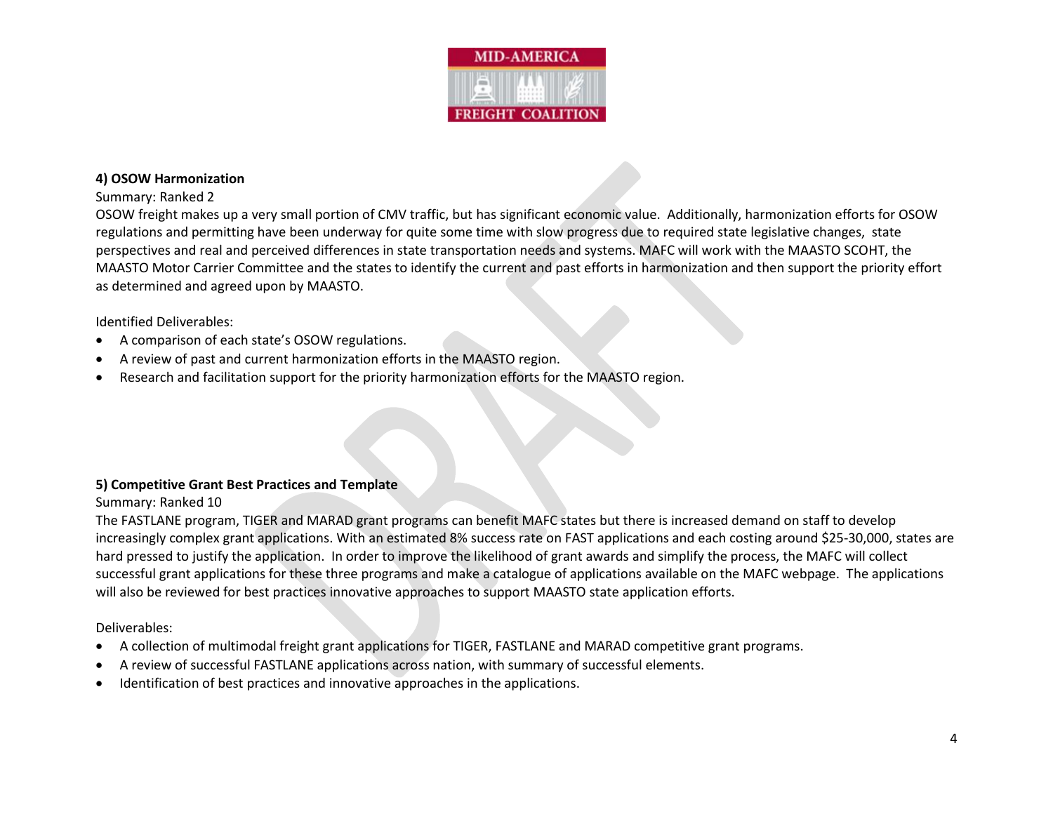

#### **4) OSOW Harmonization**

#### Summary: Ranked 2

OSOW freight makes up a very small portion of CMV traffic, but has significant economic value. Additionally, harmonization efforts for OSOW regulations and permitting have been underway for quite some time with slow progress due to required state legislative changes, state perspectives and real and perceived differences in state transportation needs and systems. MAFC will work with the MAASTO SCOHT, the MAASTO Motor Carrier Committee and the states to identify the current and past efforts in harmonization and then support the priority effort as determined and agreed upon by MAASTO.

#### Identified Deliverables:

- A comparison of each state's OSOW regulations.
- A review of past and current harmonization efforts in the MAASTO region.
- Research and facilitation support for the priority harmonization efforts for the MAASTO region.

## **5) Competitive Grant Best Practices and Template**

#### Summary: Ranked 10

The FASTLANE program, TIGER and MARAD grant programs can benefit MAFC states but there is increased demand on staff to develop increasingly complex grant applications. With an estimated 8% success rate on FAST applications and each costing around \$25-30,000, states are hard pressed to justify the application. In order to improve the likelihood of grant awards and simplify the process, the MAFC will collect successful grant applications for these three programs and make a catalogue of applications available on the MAFC webpage. The applications will also be reviewed for best practices innovative approaches to support MAASTO state application efforts.

- A collection of multimodal freight grant applications for TIGER, FASTLANE and MARAD competitive grant programs.
- A review of successful FASTLANE applications across nation, with summary of successful elements.
- Identification of best practices and innovative approaches in the applications.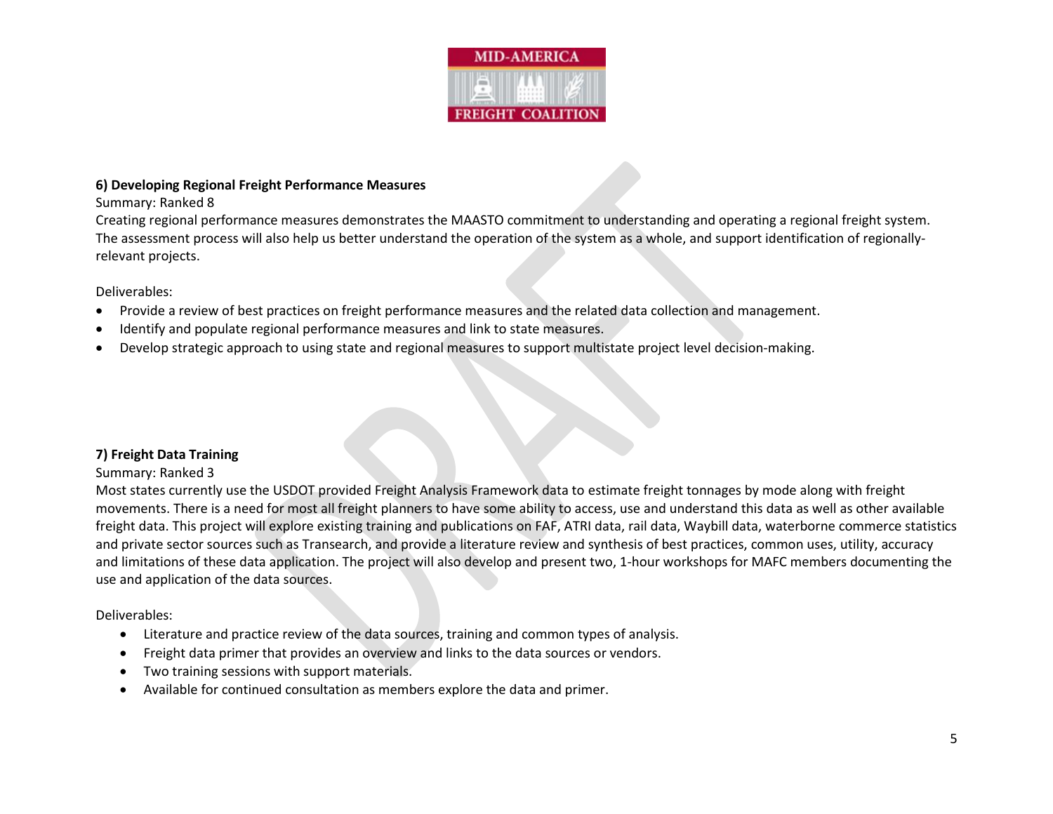

#### **6) Developing Regional Freight Performance Measures**

## Summary: Ranked 8

Creating regional performance measures demonstrates the MAASTO commitment to understanding and operating a regional freight system. The assessment process will also help us better understand the operation of the system as a whole, and support identification of regionallyrelevant projects.

## Deliverables:

- Provide a review of best practices on freight performance measures and the related data collection and management.
- Identify and populate regional performance measures and link to state measures.
- Develop strategic approach to using state and regional measures to support multistate project level decision-making.

## **7) Freight Data Training**

## Summary: Ranked 3

Most states currently use the USDOT provided Freight Analysis Framework data to estimate freight tonnages by mode along with freight movements. There is a need for most all freight planners to have some ability to access, use and understand this data as well as other available freight data. This project will explore existing training and publications on FAF, ATRI data, rail data, Waybill data, waterborne commerce statistics and private sector sources such as Transearch, and provide a literature review and synthesis of best practices, common uses, utility, accuracy and limitations of these data application. The project will also develop and present two, 1-hour workshops for MAFC members documenting the use and application of the data sources.

- Literature and practice review of the data sources, training and common types of analysis.
- Freight data primer that provides an overview and links to the data sources or vendors.
- Two training sessions with support materials.
- Available for continued consultation as members explore the data and primer.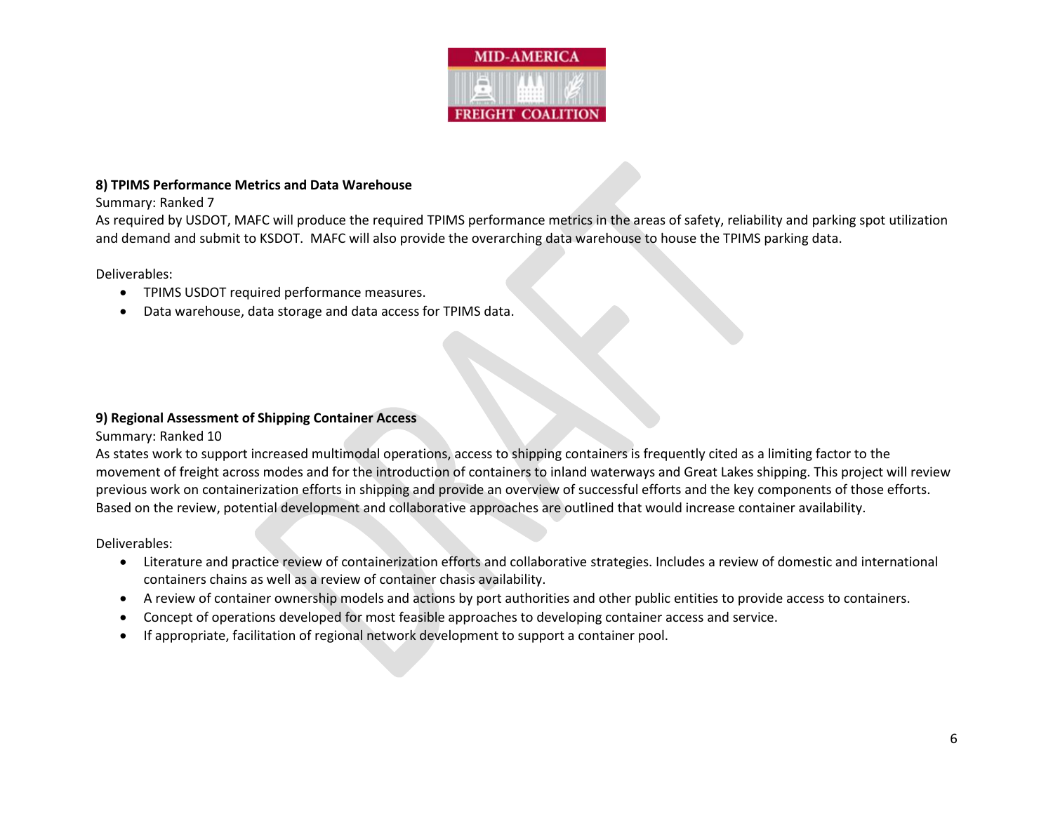

#### **8) TPIMS Performance Metrics and Data Warehouse**

Summary: Ranked 7

As required by USDOT, MAFC will produce the required TPIMS performance metrics in the areas of safety, reliability and parking spot utilization and demand and submit to KSDOT. MAFC will also provide the overarching data warehouse to house the TPIMS parking data.

Deliverables:

- TPIMS USDOT required performance measures.
- Data warehouse, data storage and data access for TPIMS data.

## **9) Regional Assessment of Shipping Container Access**

Summary: Ranked 10

As states work to support increased multimodal operations, access to shipping containers is frequently cited as a limiting factor to the movement of freight across modes and for the introduction of containers to inland waterways and Great Lakes shipping. This project will review previous work on containerization efforts in shipping and provide an overview of successful efforts and the key components of those efforts. Based on the review, potential development and collaborative approaches are outlined that would increase container availability.

- Literature and practice review of containerization efforts and collaborative strategies. Includes a review of domestic and international containers chains as well as a review of container chasis availability.
- A review of container ownership models and actions by port authorities and other public entities to provide access to containers.
- Concept of operations developed for most feasible approaches to developing container access and service.
- If appropriate, facilitation of regional network development to support a container pool.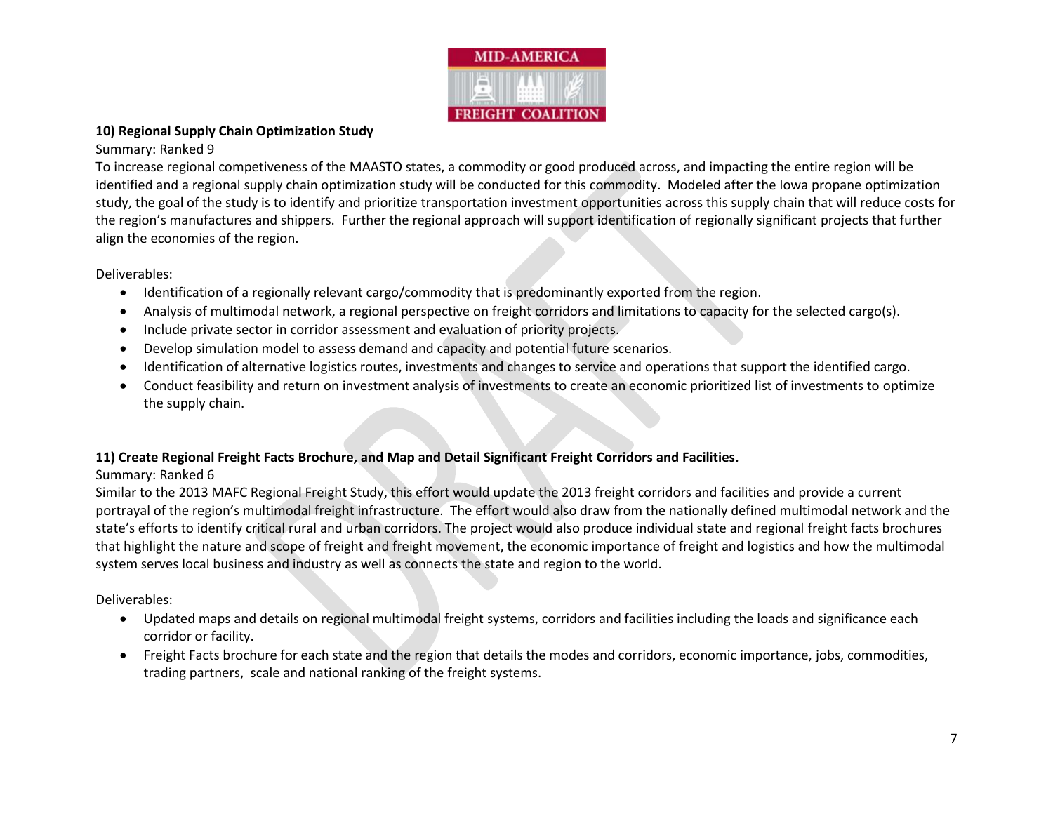

# **10) Regional Supply Chain Optimization Study**

# Summary: Ranked 9

To increase regional competiveness of the MAASTO states, a commodity or good produced across, and impacting the entire region will be identified and a regional supply chain optimization study will be conducted for this commodity. Modeled after the Iowa propane optimization study, the goal of the study is to identify and prioritize transportation investment opportunities across this supply chain that will reduce costs for the region's manufactures and shippers. Further the regional approach will support identification of regionally significant projects that further align the economies of the region.

# Deliverables:

- Identification of a regionally relevant cargo/commodity that is predominantly exported from the region.
- Analysis of multimodal network, a regional perspective on freight corridors and limitations to capacity for the selected cargo(s).
- Include private sector in corridor assessment and evaluation of priority projects.
- Develop simulation model to assess demand and capacity and potential future scenarios.
- Identification of alternative logistics routes, investments and changes to service and operations that support the identified cargo.
- Conduct feasibility and return on investment analysis of investments to create an economic prioritized list of investments to optimize the supply chain.

# **11) Create Regional Freight Facts Brochure, and Map and Detail Significant Freight Corridors and Facilities.**

# Summary: Ranked 6

Similar to the 2013 MAFC Regional Freight Study, this effort would update the 2013 freight corridors and facilities and provide a current portrayal of the region's multimodal freight infrastructure. The effort would also draw from the nationally defined multimodal network and the state's efforts to identify critical rural and urban corridors. The project would also produce individual state and regional freight facts brochures that highlight the nature and scope of freight and freight movement, the economic importance of freight and logistics and how the multimodal system serves local business and industry as well as connects the state and region to the world.

- Updated maps and details on regional multimodal freight systems, corridors and facilities including the loads and significance each corridor or facility.
- Freight Facts brochure for each state and the region that details the modes and corridors, economic importance, jobs, commodities, trading partners, scale and national ranking of the freight systems.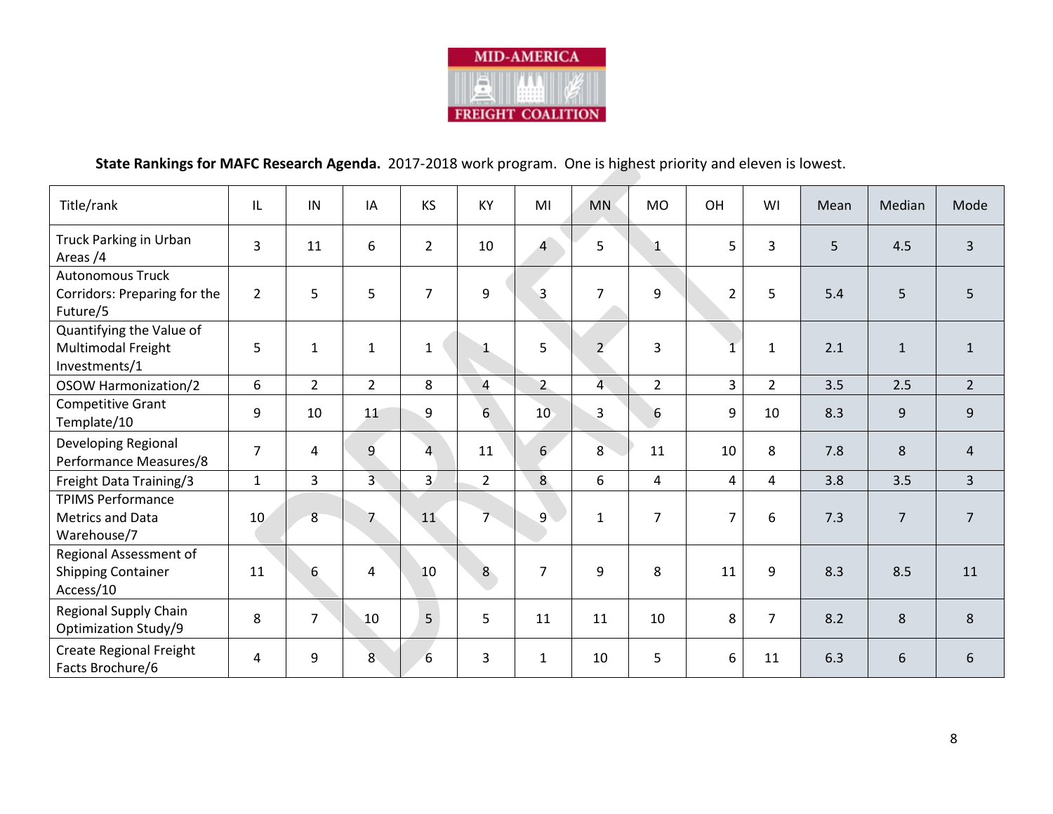

# **State Rankings for MAFC Research Agenda.** 2017-2018 work program. One is highest priority and eleven is lowest.

| Title/rank                                                          | IL             | IN             | IA             | <b>KS</b>      | KY              | MI              | <b>MN</b>      | <b>MO</b>       | OH             | WI             | Mean | Median         | Mode           |
|---------------------------------------------------------------------|----------------|----------------|----------------|----------------|-----------------|-----------------|----------------|-----------------|----------------|----------------|------|----------------|----------------|
| <b>Truck Parking in Urban</b><br>Areas /4                           | $\overline{3}$ | 11             | 6              | $\overline{2}$ | 10              | $\overline{4}$  | 5              | 1               | 5              | $\overline{3}$ | 5    | 4.5            | $\overline{3}$ |
| <b>Autonomous Truck</b><br>Corridors: Preparing for the<br>Future/5 | $\overline{2}$ | 5              | 5              | $\overline{7}$ | 9               | 3               | $\overline{7}$ | 9               | $\overline{2}$ | 5              | 5.4  | 5              | 5              |
| Quantifying the Value of<br>Multimodal Freight<br>Investments/1     | 5              | $\mathbf{1}$   | $\mathbf{1}$   | $\mathbf{1}$   | 1               | 5               | $\overline{2}$ | 3               | $\overline{1}$ | $\mathbf{1}$   | 2.1  | $\mathbf{1}$   | $\mathbf{1}$   |
| OSOW Harmonization/2                                                | 6              | $2^{\circ}$    | $\overline{2}$ | 8              | $\overline{4}$  | $2\overline{ }$ | $\overline{4}$ | $\overline{2}$  | 3              | $\overline{2}$ | 3.5  | 2.5            | $2^{\circ}$    |
| Competitive Grant<br>Template/10                                    | 9              | 10             | 11             | 9              | $6\overline{6}$ | 10 <sup>°</sup> | $\overline{3}$ | $6\phantom{1}6$ | 9              | 10             | 8.3  | 9              | 9              |
| Developing Regional<br>Performance Measures/8                       | $\overline{7}$ | 4              | 9              | 4              | 11              | 6               | 8              | 11              | 10             | 8              | 7.8  | 8              | $\overline{4}$ |
| Freight Data Training/3                                             | $\mathbf{1}$   | $\overline{3}$ | $\overline{3}$ | $\overline{3}$ | $\overline{2}$  | 8 <sup>°</sup>  | 6              | $\overline{4}$  | 4              | $\overline{4}$ | 3.8  | 3.5            | $\overline{3}$ |
| <b>TPIMS Performance</b><br>Metrics and Data<br>Warehouse/7         | 10             | 8              | 7              | 11             | $\overline{7}$  | $\overline{9}$  | $\mathbf{1}$   | $\overline{7}$  | $\overline{7}$ | 6              | 7.3  | $\overline{7}$ | $\overline{7}$ |
| Regional Assessment of<br><b>Shipping Container</b><br>Access/10    | 11             | 6              | 4              | 10             | 8 <sup>°</sup>  | $\overline{7}$  | 9              | 8               | 11             | 9              | 8.3  | 8.5            | 11             |
| <b>Regional Supply Chain</b><br>Optimization Study/9                | 8              | $\overline{7}$ | 10             | 5              | 5               | 11              | 11             | 10              | 8              | $\overline{7}$ | 8.2  | 8              | 8              |
| Create Regional Freight<br>Facts Brochure/6                         | 4              | 9              | 8              | $6\,$          | 3               | $\mathbf{1}$    | 10             | 5               | 6              | 11             | 6.3  | 6              | 6              |